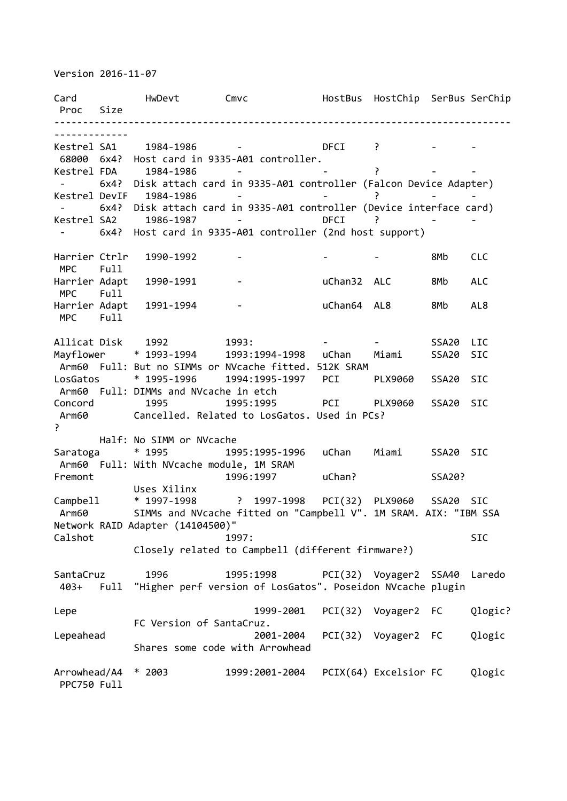Version 2016-11-07

Card HwDevt Cmvc HostBus HostChip SerBus SerChip Proc Size -------------------------------------------------------------------------------- ------------- Kestrel SA1 1984-1986 - DFCI ? - - 68000 6x4? Host card in 9335-A01 controller. Kestrel FDA 1984-1986 - Particular entry and the entry of the entry of the entry of the entry of the entry of t - 6x4? Disk attach card in 9335-A01 controller (Falcon Device Adapter) Kestrel DevIF 1984-1986 - - ? - - - 6x4? Disk attach card in 9335-A01 controller (Device interface card) Kestrel SA2 1986-1987 - DFCI ? - 6x4? Host card in 9335-A01 controller (2nd host support) Harrier Ctrlr 1990-1992 - - - 8Mb CLC MPC Full Harrier Adapt 1990-1991 - uChan32 ALC 8Mb ALC MPC Full Harrier Adapt 1991-1994 - and uChan64 AL8 8Mb AL8 MPC Full Allicat Disk 1992 1993: 1993: 1993 - 1993 - SSA20 LIC Mayflower \* 1993-1994 1993:1994-1998 uChan Miami SSA20 SIC Arm60 Full: But no SIMMs or NVcache fitted. 512K SRAM LosGatos \* 1995-1996 1994:1995-1997 PCI PLX9060 SSA20 SIC Arm60 Full: DIMMs and NVcache in etch Concord 1995 1995:1995 PCI PLX9060 SSA20 SIC Arm60 Cancelled. Related to LosGatos. Used in PCs? ? Half: No SIMM or NVcache Saratoga \* 1995 1995:1995-1996 uChan Miami SSA20 SIC Arm60 Full: With NVcache module, 1M SRAM Fremont 1996:1997 uChan? SSA20? Uses Xilinx Campbell \* 1997-1998 ? 1997-1998 PCI(32) PLX9060 SSA20 SIC Arm60 SIMMs and NVcache fitted on "Campbell V". 1M SRAM. AIX: "IBM SSA Network RAID Adapter (14104500)" Calshot 5IC 1997: Closely related to Campbell (different firmware?) SantaCruz 1996 1995:1998 PCI(32) Voyager2 SSA40 Laredo 403+ Full "Higher perf version of LosGatos". Poseidon NVcache plugin Lepe 1999-2001 PCI(32) Voyager2 FC Qlogic? FC Version of SantaCruz. Lepeahead 2001-2004 PCI(32) Voyager2 FC Qlogic Shares some code with Arrowhead Arrowhead/A4 \* 2003 1999:2001-2004 PCIX(64) Excelsior FC Qlogic PPC750 Full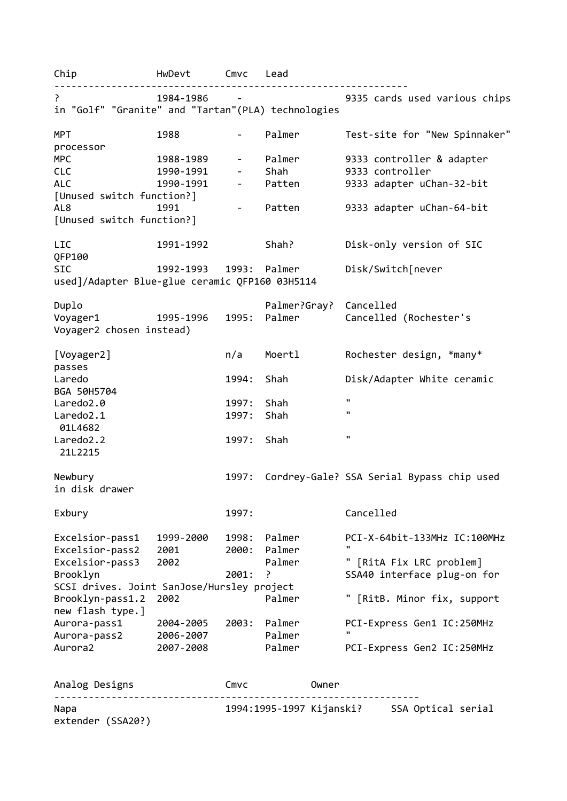Chip HwDevt Cmvc Lead -------------------------------------------------------------- Product of the 1984-1986 space of 1986-1987 space of the 1986-1987 space of the 1986-1986 space of the 1986-19<br>Product of the 1986-1987 space of the 1986-1988 space of the 1988-1988 space of the 1988-1988 space of the 198 in "Golf" "Granite" and "Tartan"(PLA) technologies MPT 1988 - Palmer Test-site for "New Spinnaker" processor MPC 1988-1989 - Palmer 9333 controller & adapter CLC 1990-1991 - Shah 9333 controller ALC 1990-1991 - Patten 9333 adapter uChan-32-bit [Unused switch function?] AL8 1991 - Patten 9333 adapter uChan-64-bit [Unused switch function?] LIC 1991-1992 Shah? Disk-only version of SIC QFP100 SIC 1992-1993 1993: Palmer Disk/Switch[never used]/Adapter Blue-glue ceramic QFP160 03H5114 Duplo Palmer?Gray? Cancelled Voyager1 1995-1996 1995: Palmer Cancelled (Rochester's Voyager2 chosen instead) [Voyager2] n/a Moertl Rochester design, \*many\* passes Laredo 1994: Shah Disk/Adapter White ceramic BGA 50H5704 Laredo2.0 1997: Shah " Laredo2.1 1997: Shah " 01L4682 Laredo2.2 1997: Shah " 21L2215 Newbury 1997: Cordrey-Gale? SSA Serial Bypass chip used in disk drawer Exbury 1997: Cancelled Excelsior-pass1 1999-2000 1998: Palmer PCI-X-64bit-133MHz IC:100MHz Excelsior-pass2 2001 2000: Palmer Excelsior-pass3 2002 Palmer " [RitA Fix LRC problem] Brooklyn 2001: ? SSA40 interface plug-on for SCSI drives. Joint SanJose/Hursley project Brooklyn-pass1.2 2002 Palmer " [RitB. Minor fix, support new flash type.] Aurora-pass1 2004-2005 2003: Palmer PCI-Express Gen1 IC:250MHz Aurora-pass2 2006-2007 Palmer Aurora2 2007-2008 Palmer PCI-Express Gen2 IC:250MHz Analog Designs Cmvc Owner ----------------------------------------------------------------

extender (SSA20?)

Napa 1994:1995-1997 Kijanski? SSA Optical serial